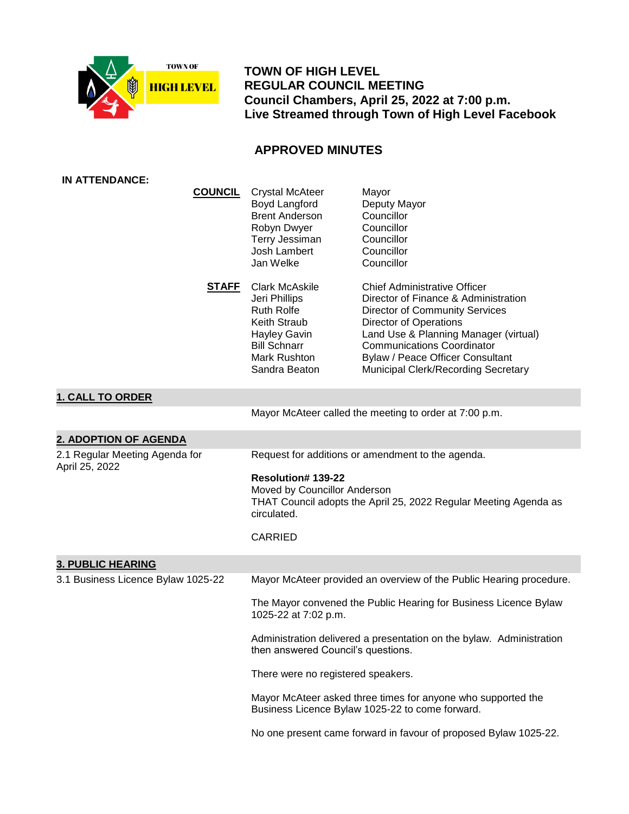

 **TOWN OF HIGH LEVEL REGULAR COUNCIL MEETING Council Chambers, April 25, 2022 at 7:00 p.m. Live Streamed through Town of High Level Facebook**

# **APPROVED MINUTES**

| <b>IN ATTENDANCE:</b>                            |                                                                                                                                                            |                                                                                                                                                                                                                                                                                                                |
|--------------------------------------------------|------------------------------------------------------------------------------------------------------------------------------------------------------------|----------------------------------------------------------------------------------------------------------------------------------------------------------------------------------------------------------------------------------------------------------------------------------------------------------------|
| <b>COUNCIL</b>                                   | <b>Crystal McAteer</b><br>Boyd Langford<br><b>Brent Anderson</b><br>Robyn Dwyer<br>Terry Jessiman<br>Josh Lambert<br>Jan Welke                             | Mayor<br>Deputy Mayor<br>Councillor<br>Councillor<br>Councillor<br>Councillor<br>Councillor                                                                                                                                                                                                                    |
| <u>STAFF</u>                                     | <b>Clark McAskile</b><br>Jeri Phillips<br><b>Ruth Rolfe</b><br>Keith Straub<br><b>Hayley Gavin</b><br><b>Bill Schnarr</b><br>Mark Rushton<br>Sandra Beaton | <b>Chief Administrative Officer</b><br>Director of Finance & Administration<br><b>Director of Community Services</b><br><b>Director of Operations</b><br>Land Use & Planning Manager (virtual)<br><b>Communications Coordinator</b><br>Bylaw / Peace Officer Consultant<br>Municipal Clerk/Recording Secretary |
| <b>1. CALL TO ORDER</b>                          |                                                                                                                                                            |                                                                                                                                                                                                                                                                                                                |
|                                                  |                                                                                                                                                            | Mayor McAteer called the meeting to order at 7:00 p.m.                                                                                                                                                                                                                                                         |
| 2. ADOPTION OF AGENDA                            |                                                                                                                                                            |                                                                                                                                                                                                                                                                                                                |
| 2.1 Regular Meeting Agenda for<br>April 25, 2022 |                                                                                                                                                            | Request for additions or amendment to the agenda.                                                                                                                                                                                                                                                              |
|                                                  | Resolution# 139-22<br>Moved by Councillor Anderson<br>THAT Council adopts the April 25, 2022 Regular Meeting Agenda as<br>circulated.                      |                                                                                                                                                                                                                                                                                                                |
|                                                  | <b>CARRIED</b>                                                                                                                                             |                                                                                                                                                                                                                                                                                                                |
| <b>3. PUBLIC HEARING</b>                         |                                                                                                                                                            |                                                                                                                                                                                                                                                                                                                |
| 3.1 Business Licence Bylaw 1025-22               |                                                                                                                                                            | Mayor McAteer provided an overview of the Public Hearing procedure.                                                                                                                                                                                                                                            |
|                                                  | The Mayor convened the Public Hearing for Business Licence Bylaw<br>1025-22 at 7:02 p.m.                                                                   |                                                                                                                                                                                                                                                                                                                |
|                                                  | Administration delivered a presentation on the bylaw. Administration<br>then answered Council's questions.                                                 |                                                                                                                                                                                                                                                                                                                |
|                                                  | There were no registered speakers.                                                                                                                         |                                                                                                                                                                                                                                                                                                                |
|                                                  | Mayor McAteer asked three times for anyone who supported the<br>Business Licence Bylaw 1025-22 to come forward.                                            |                                                                                                                                                                                                                                                                                                                |
|                                                  |                                                                                                                                                            | No one present came forward in favour of proposed Bylaw 1025-22.                                                                                                                                                                                                                                               |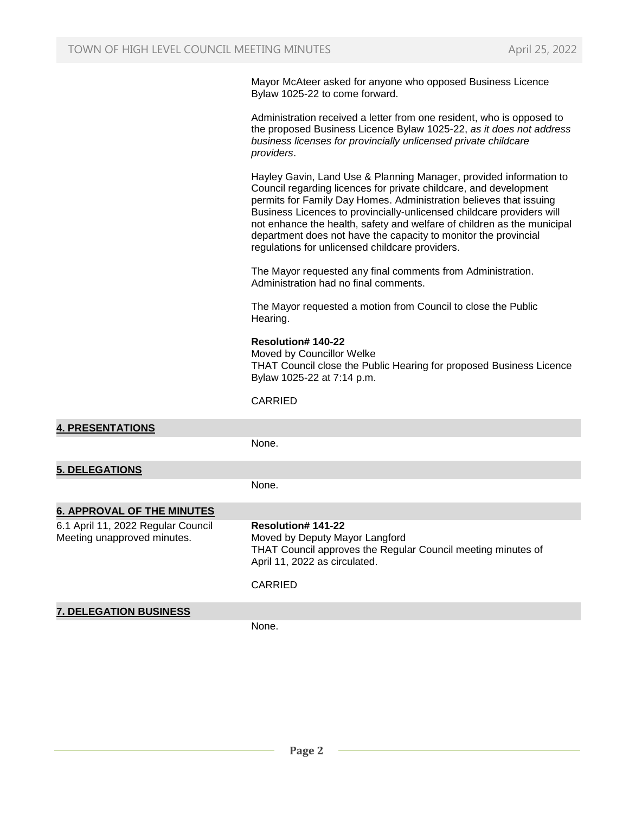Mayor McAteer asked for anyone who opposed Business Licence Bylaw 1025-22 to come forward.

Administration received a letter from one resident, who is opposed to the proposed Business Licence Bylaw 1025-22, *as it does not address business licenses for provincially unlicensed private childcare providers*.

Hayley Gavin, Land Use & Planning Manager, provided information to Council regarding licences for private childcare, and development permits for Family Day Homes. Administration believes that issuing Business Licences to provincially-unlicensed childcare providers will not enhance the health, safety and welfare of children as the municipal department does not have the capacity to monitor the provincial regulations for unlicensed childcare providers.

The Mayor requested any final comments from Administration. Administration had no final comments.

The Mayor requested a motion from Council to close the Public Hearing.

# **Resolution# 140-22**

Moved by Councillor Welke THAT Council close the Public Hearing for proposed Business Licence Bylaw 1025-22 at 7:14 p.m.

CARRIED

**4. PRESENTATIONS** None. **5. DELEGATIONS** None. **6. APPROVAL OF THE MINUTES** 6.1 April 11, 2022 Regular Council Meeting unapproved minutes. **Resolution# 141-22** Moved by Deputy Mayor Langford THAT Council approves the Regular Council meeting minutes of April 11, 2022 as circulated. CARRIED **7. DELEGATION BUSINESS** None.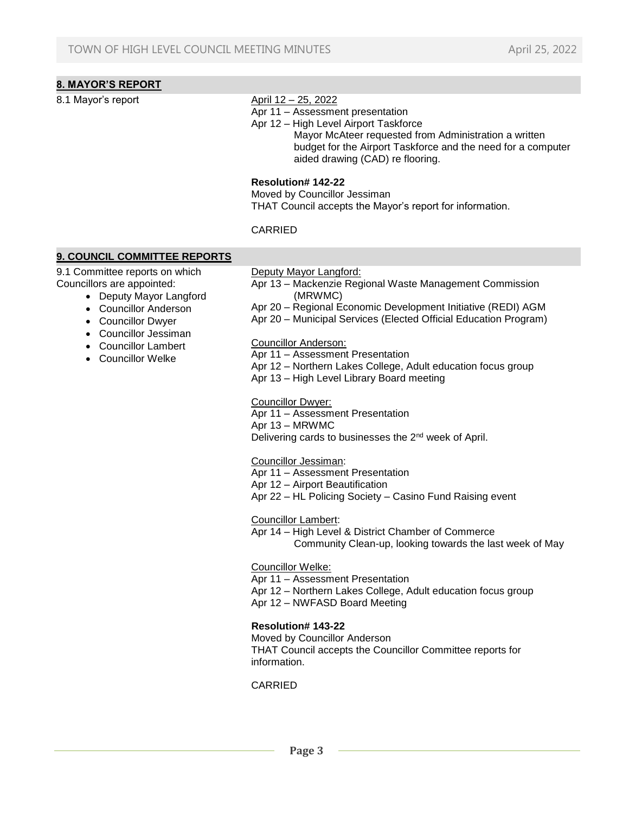# **8. MAYOR'S REPORT**

#### 8.1 Mayor's report April 12 – 25, 2022

- Apr 11 Assessment presentation
- Apr 12 High Level Airport Taskforce

 Mayor McAteer requested from Administration a written budget for the Airport Taskforce and the need for a computer aided drawing (CAD) re flooring.

#### **Resolution# 142-22**

Moved by Councillor Jessiman THAT Council accepts the Mayor's report for information.

#### CARRIED

# **9. COUNCIL COMMITTEE REPORTS**

9.1 Committee reports on which Councillors are appointed:

- Deputy Mayor Langford
- Councillor Anderson
- Councillor Dwyer
- Councillor Jessiman
- Councillor Lambert
- Councillor Welke

Deputy Mayor Langford:

- Apr 13 Mackenzie Regional Waste Management Commission (MRWMC)
- Apr 20 Regional Economic Development Initiative (REDI) AGM
- Apr 20 Municipal Services (Elected Official Education Program)

#### Councillor Anderson:

- Apr 11 Assessment Presentation
- Apr 12 Northern Lakes College, Adult education focus group
- Apr 13 High Level Library Board meeting

#### Councillor Dwyer:

- Apr 11 Assessment Presentation
- Apr 13 MRWMC

Delivering cards to businesses the 2nd week of April.

#### Councillor Jessiman:

- Apr 11 Assessment Presentation
- Apr 12 Airport Beautification
- Apr 22 HL Policing Society Casino Fund Raising event

Councillor Lambert:

Apr 14 – High Level & District Chamber of Commerce Community Clean-up, looking towards the last week of May

# Councillor Welke:

Apr 11 – Assessment Presentation

- Apr 12 Northern Lakes College, Adult education focus group
- Apr 12 NWFASD Board Meeting

# **Resolution# 143-22**

Moved by Councillor Anderson THAT Council accepts the Councillor Committee reports for information.

# CARRIED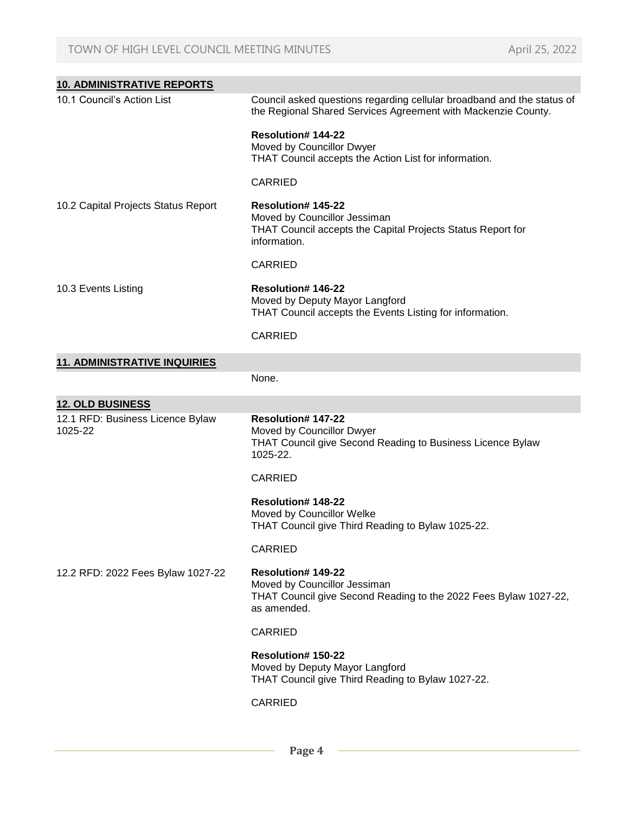| <b>10. ADMINISTRATIVE REPORTS</b>           |                                                                                                                                              |  |
|---------------------------------------------|----------------------------------------------------------------------------------------------------------------------------------------------|--|
| 10.1 Council's Action List                  | Council asked questions regarding cellular broadband and the status of<br>the Regional Shared Services Agreement with Mackenzie County.      |  |
|                                             | Resolution# 144-22<br>Moved by Councillor Dwyer<br>THAT Council accepts the Action List for information.                                     |  |
|                                             | <b>CARRIED</b>                                                                                                                               |  |
| 10.2 Capital Projects Status Report         | <b>Resolution# 145-22</b><br>Moved by Councillor Jessiman<br>THAT Council accepts the Capital Projects Status Report for<br>information.     |  |
|                                             | <b>CARRIED</b>                                                                                                                               |  |
| 10.3 Events Listing                         | Resolution# 146-22<br>Moved by Deputy Mayor Langford<br>THAT Council accepts the Events Listing for information.                             |  |
|                                             | <b>CARRIED</b>                                                                                                                               |  |
| <b>11. ADMINISTRATIVE INQUIRIES</b>         |                                                                                                                                              |  |
|                                             | None.                                                                                                                                        |  |
| <b>12. OLD BUSINESS</b>                     |                                                                                                                                              |  |
| 12.1 RFD: Business Licence Bylaw<br>1025-22 | <b>Resolution# 147-22</b><br>Moved by Councillor Dwyer<br>THAT Council give Second Reading to Business Licence Bylaw<br>1025-22.             |  |
|                                             | <b>CARRIED</b>                                                                                                                               |  |
|                                             | <b>Resolution# 148-22</b><br>Moved by Councillor Welke<br>THAT Council give Third Reading to Bylaw 1025-22.                                  |  |
|                                             | <b>CARRIED</b>                                                                                                                               |  |
| 12.2 RFD: 2022 Fees Bylaw 1027-22           | <b>Resolution# 149-22</b><br>Moved by Councillor Jessiman<br>THAT Council give Second Reading to the 2022 Fees Bylaw 1027-22,<br>as amended. |  |
|                                             | <b>CARRIED</b>                                                                                                                               |  |
|                                             | <b>Resolution#150-22</b><br>Moved by Deputy Mayor Langford<br>THAT Council give Third Reading to Bylaw 1027-22.                              |  |
|                                             | <b>CARRIED</b>                                                                                                                               |  |

 **Page 4**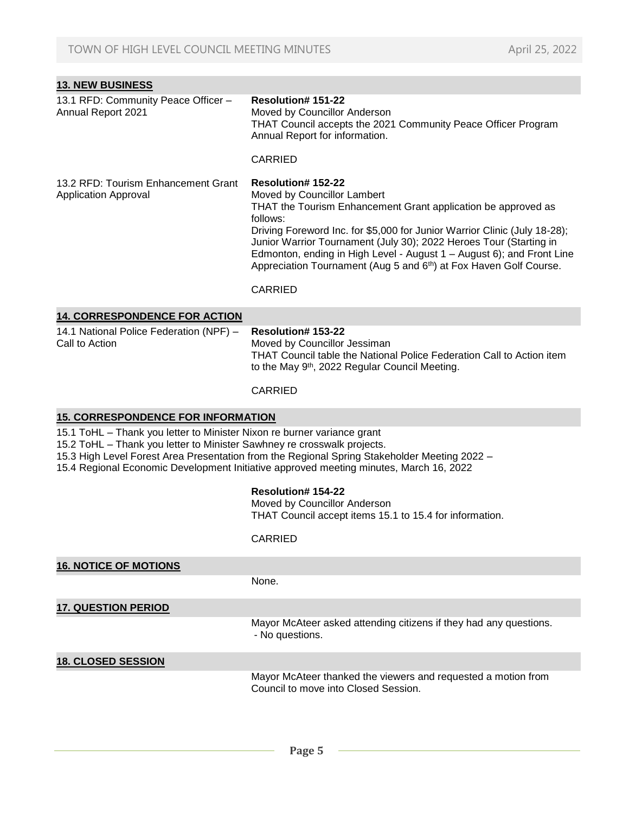| <b>13. NEW BUSINESS</b>                                                                                                                                                                                                                                                                                                                      |                                                                                                                                                                                                                                                                                                                                                                                                                                                   |  |
|----------------------------------------------------------------------------------------------------------------------------------------------------------------------------------------------------------------------------------------------------------------------------------------------------------------------------------------------|---------------------------------------------------------------------------------------------------------------------------------------------------------------------------------------------------------------------------------------------------------------------------------------------------------------------------------------------------------------------------------------------------------------------------------------------------|--|
| 13.1 RFD: Community Peace Officer -<br>Annual Report 2021                                                                                                                                                                                                                                                                                    | Resolution# 151-22<br>Moved by Councillor Anderson<br>THAT Council accepts the 2021 Community Peace Officer Program<br>Annual Report for information.<br><b>CARRIED</b>                                                                                                                                                                                                                                                                           |  |
| 13.2 RFD: Tourism Enhancement Grant<br><b>Application Approval</b>                                                                                                                                                                                                                                                                           | Resolution# 152-22<br>Moved by Councillor Lambert<br>THAT the Tourism Enhancement Grant application be approved as<br>follows:<br>Driving Foreword Inc. for \$5,000 for Junior Warrior Clinic (July 18-28);<br>Junior Warrior Tournament (July 30); 2022 Heroes Tour (Starting in<br>Edmonton, ending in High Level - August 1 - August 6); and Front Line<br>Appreciation Tournament (Aug 5 and 6th) at Fox Haven Golf Course.<br><b>CARRIED</b> |  |
| <b>14. CORRESPONDENCE FOR ACTION</b>                                                                                                                                                                                                                                                                                                         |                                                                                                                                                                                                                                                                                                                                                                                                                                                   |  |
| 14.1 National Police Federation (NPF) -<br>Call to Action                                                                                                                                                                                                                                                                                    | <b>Resolution# 153-22</b><br>Moved by Councillor Jessiman<br>THAT Council table the National Police Federation Call to Action item<br>to the May 9th, 2022 Regular Council Meeting.                                                                                                                                                                                                                                                               |  |
|                                                                                                                                                                                                                                                                                                                                              | <b>CARRIED</b>                                                                                                                                                                                                                                                                                                                                                                                                                                    |  |
| <b>15. CORRESPONDENCE FOR INFORMATION</b>                                                                                                                                                                                                                                                                                                    |                                                                                                                                                                                                                                                                                                                                                                                                                                                   |  |
| 15.1 ToHL - Thank you letter to Minister Nixon re burner variance grant<br>15.2 ToHL - Thank you letter to Minister Sawhney re crosswalk projects.<br>15.3 High Level Forest Area Presentation from the Regional Spring Stakeholder Meeting 2022 -<br>15.4 Regional Economic Development Initiative approved meeting minutes, March 16, 2022 |                                                                                                                                                                                                                                                                                                                                                                                                                                                   |  |
|                                                                                                                                                                                                                                                                                                                                              | <b>Resolution#154-22</b><br>Moved by Councillor Anderson<br>THAT Council accept items 15.1 to 15.4 for information.                                                                                                                                                                                                                                                                                                                               |  |
|                                                                                                                                                                                                                                                                                                                                              | <b>CARRIED</b>                                                                                                                                                                                                                                                                                                                                                                                                                                    |  |
| <b>16. NOTICE OF MOTIONS</b>                                                                                                                                                                                                                                                                                                                 |                                                                                                                                                                                                                                                                                                                                                                                                                                                   |  |
|                                                                                                                                                                                                                                                                                                                                              | None.                                                                                                                                                                                                                                                                                                                                                                                                                                             |  |
| <b>17. QUESTION PERIOD</b>                                                                                                                                                                                                                                                                                                                   |                                                                                                                                                                                                                                                                                                                                                                                                                                                   |  |
|                                                                                                                                                                                                                                                                                                                                              | Mayor McAteer asked attending citizens if they had any questions.<br>- No questions.                                                                                                                                                                                                                                                                                                                                                              |  |
| <b>18. CLOSED SESSION</b>                                                                                                                                                                                                                                                                                                                    |                                                                                                                                                                                                                                                                                                                                                                                                                                                   |  |
|                                                                                                                                                                                                                                                                                                                                              | Mayor McAteer thanked the viewers and requested a motion from<br>Council to move into Closed Session.                                                                                                                                                                                                                                                                                                                                             |  |